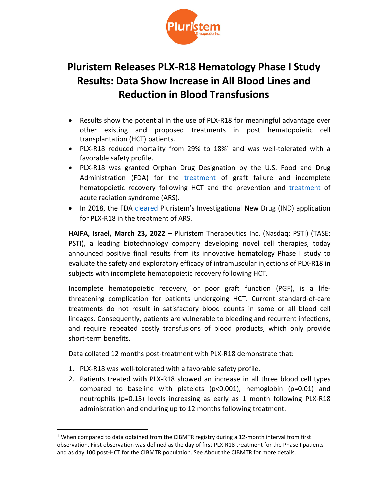

# **Pluristem Releases PLX-R18 Hematology Phase I Study Results: Data Show Increase in All Blood Lines and Reduction in Blood Transfusions**

- Results show the potential in the use of PLX-R18 for meaningful advantage over other existing and proposed treatments in post hematopoietic cell transplantation (HCT) patients.
- PLX-R18 reduced mortality from 29% to 18%<sup>1</sup> and was well-tolerated with a favorable safety profile.
- PLX-R18 was granted Orphan Drug Designation by the U.S. Food and Drug Administration (FDA) for the [treatment](https://www.pluristem.com/news-and-events/pluristem-therapeutics-announces-fda-orphan-drug-designation-plx-cell-therapy-treatment-graft-failure-incomplete-recovery-following-hematopoietic-cell-transplantation/) of graft failure and incomplete hematopoietic recovery following HCT and the prevention and [treatment](http://www.pluristem.com/wp-content/uploads/2017/10/Orphan_drug-ARS_final_isa.pdf) of acute radiation syndrome (ARS).
- In 2018, the FDA [cleared](https://www.pluristem.com/wp-content/uploads/2018/04/ARS_IND_final_isa.pdf) Pluristem's Investigational New Drug (IND) application for PLX-R18 in the treatment of ARS.

**HAIFA, Israel, March 23, 2022** – Pluristem Therapeutics Inc. (Nasdaq: PSTI) (TASE: PSTI), a leading biotechnology company developing novel cell therapies, today announced positive final results from its innovative hematology Phase I study to evaluate the safety and exploratory efficacy of intramuscular injections of PLX-R18 in subjects with incomplete hematopoietic recovery following HCT.

Incomplete hematopoietic recovery, or poor graft function (PGF), is a lifethreatening complication for patients undergoing HCT. Current standard-of-care treatments do not result in satisfactory blood counts in some or all blood cell lineages. Consequently, patients are vulnerable to bleeding and recurrent infections, and require repeated costly transfusions of blood products, which only provide short-term benefits.

Data collated 12 months post-treatment with PLX-R18 demonstrate that:

- 1. PLX-R18 was well-tolerated with a favorable safety profile.
- 2. Patients treated with PLX-R18 showed an increase in all three blood cell types compared to baseline with platelets (p<0.001), hemoglobin (p=0.01) and neutrophils (p=0.15) levels increasing as early as 1 month following PLX-R18 administration and enduring up to 12 months following treatment.

<sup>&</sup>lt;sup>1</sup> When compared to data obtained from the CIBMTR registry during a 12-month interval from first observation. First observation was defined as the day of first PLX-R18 treatment for the Phase I patients and as day 100 post-HCT for the CIBMTR population. See About the CIBMTR for more details.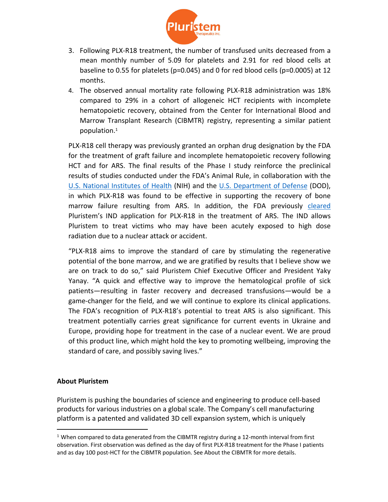

- 3. Following PLX-R18 treatment, the number of transfused units decreased from a mean monthly number of 5.09 for platelets and 2.91 for red blood cells at baseline to 0.55 for platelets (p=0.045) and 0 for red blood cells (p=0.0005) at 12 months.
- 4. The observed annual mortality rate following PLX-R18 administration was 18% compared to 29% in a cohort of allogeneic HCT recipients with incomplete hematopoietic recovery, obtained from the Center for International Blood and Marrow Transplant Research (CIBMTR) registry, representing a similar patient population.<sup>1</sup>

PLX-R18 cell therapy was previously granted an orphan drug designation by the FDA for the treatment of graft failure and incomplete hematopoietic recovery following HCT and for ARS. The final results of the Phase I study reinforce the preclinical results of studies conducted under the FDA's Animal Rule, in collaboration with the [U.S. National Institutes of Health](http://www.pluristem.com/wp-content/uploads/2017/05/ARS-Pilot-Results_final.pdf) (NIH) and the [U.S. Department of Defense](http://netron-webs.com/pluristem_new2020/wp-content/uploads/2019/07/Pluristem_DoD_R18_post_conference_FINAL_isa.pdf) (DOD), in which PLX-R18 was found to be effective in supporting the recovery of bone marrow failure resulting from ARS. In addition, the FDA previously [cleared](https://www.pluristem.com/wp-content/uploads/2018/04/ARS_IND_final_isa.pdf) Pluristem's IND application for PLX-R18 in the treatment of ARS. The IND allows Pluristem to treat victims who may have been acutely exposed to high dose radiation due to a nuclear attack or accident.

"PLX-R18 aims to improve the standard of care by stimulating the regenerative potential of the bone marrow, and we are gratified by results that I believe show we are on track to do so," said Pluristem Chief Executive Officer and President Yaky Yanay. "A quick and effective way to improve the hematological profile of sick patients—resulting in faster recovery and decreased transfusions—would be a game-changer for the field, and we will continue to explore its clinical applications. The FDA's recognition of PLX-R18's potential to treat ARS is also significant. This treatment potentially carries great significance for current events in Ukraine and Europe, providing hope for treatment in the case of a nuclear event. We are proud of this product line, which might hold the key to promoting wellbeing, improving the standard of care, and possibly saving lives."

### **About Pluristem**

Pluristem is pushing the boundaries of science and engineering to produce cell-based products for various industries on a global scale. The Company's cell manufacturing platform is a patented and validated 3D cell expansion system, which is uniquely

 $1$  When compared to data generated from the CIBMTR registry during a 12-month interval from first observation. First observation was defined as the day of first PLX-R18 treatment for the Phase I patients and as day 100 post-HCT for the CIBMTR population. See About the CIBMTR for more details.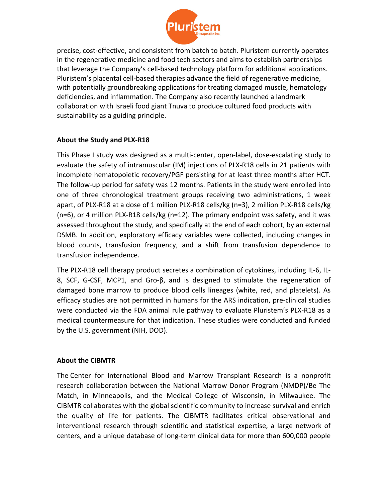

precise, cost-effective, and consistent from batch to batch. Pluristem currently operates in the regenerative medicine and food tech sectors and aims to establish partnerships that leverage the Company's cell-based technology platform for additional applications. Pluristem's placental cell-based therapies advance the field of regenerative medicine, with potentially groundbreaking applications for treating damaged muscle, hematology deficiencies, and inflammation. The Company also recently launched a landmark collaboration with Israeli food giant Tnuva to produce cultured food products with sustainability as a guiding principle.

## **About the Study and PLX-R18**

This Phase I study was designed as a multi-center, open-label, dose-escalating study to evaluate the safety of intramuscular (IM) injections of PLX-R18 cells in 21 patients with incomplete hematopoietic recovery/PGF persisting for at least three months after HCT. The follow-up period for safety was 12 months. Patients in the study were enrolled into one of three chronological treatment groups receiving two administrations, 1 week apart, of PLX-R18 at a dose of 1 million PLX-R18 cells/kg (n=3), 2 million PLX-R18 cells/kg  $(n=6)$ , or 4 million PLX-R18 cells/kg  $(n=12)$ . The primary endpoint was safety, and it was assessed throughout the study, and specifically at the end of each cohort, by an external DSMB. In addition, exploratory efficacy variables were collected, including changes in blood counts, transfusion frequency, and a shift from transfusion dependence to transfusion independence.

The PLX-R18 cell therapy product secretes a combination of cytokines, including IL-6, IL-8, SCF, G-CSF, MCP1, and Gro-β, and is designed to stimulate the regeneration of damaged bone marrow to produce blood cells lineages (white, red, and platelets). As efficacy studies are not permitted in humans for the ARS indication, pre-clinical studies were conducted via the FDA animal rule pathway to evaluate Pluristem's PLX-R18 as a medical countermeasure for that indication. These studies were conducted and funded by the U.S. government (NIH, DOD).

### **About the CIBMTR**

The Center for International Blood and Marrow Transplant Research is a nonprofit research collaboration between the National Marrow Donor Program (NMDP)/Be The Match, in Minneapolis, and the Medical College of Wisconsin, in Milwaukee. The CIBMTR collaborates with the global scientific community to increase survival and enrich the quality of life for patients. The CIBMTR facilitates critical observational and interventional research through scientific and statistical expertise, a large network of centers, and a unique database of long-term clinical data for more than 600,000 people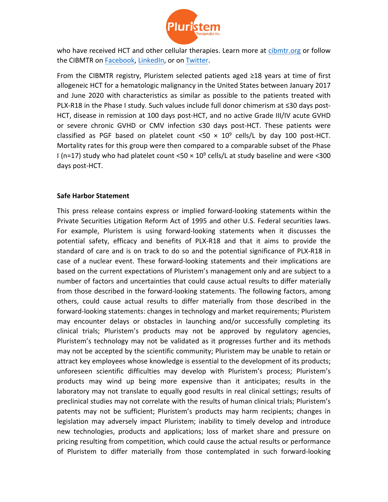

who have received HCT and other cellular therapies. Learn more at [cibmtr.org](https://www.cibmtr.org/Pages/index.aspx) or follow the CIBMTR on [Facebook](https://eur05.safelinks.protection.outlook.com/?url=https%3A%2F%2Furldefense.proofpoint.com%2Fv2%2Furl%3Fu%3Dhttps-3A__www.facebook.com_theCIBMTR_%26d%3DDwMFAg%26c%3DC_O335FEx-vf3XHLXGN8TO1BAxpi8-UjLCbu_DQ0pZI%26r%3DW8oCnXIPHnkXzNIqQyE0DKXx_BjZJruXJ07iWcbmVS4%26m%3DRTFgUTu-tGFwevoLIKr2EzdUC80pa2WA6yTQ5a8LB0g%26s%3DLd8r3mybf-wdShE2kE9Dqtj2Mr2yLSDB-Mm8dY-SdAE%26e%3D&data=04%7C01%7Cnitsan.halevy%40Pluristem.com%7C75a1c842bfa1429ab5dd08da0062239d%7Cdddc407fde4d434984cbc328e55f7e8a%7C0%7C0%7C637822718782284932%7CUnknown%7CTWFpbGZsb3d8eyJWIjoiMC4wLjAwMDAiLCJQIjoiV2luMzIiLCJBTiI6Ik1haWwiLCJXVCI6Mn0%3D%7C3000&sdata=tarat8SjoSBn%2BkPjGavNspkQuKUsy1HHJbq7PoOQifY%3D&reserved=0), [LinkedIn](https://www.linkedin.com/company/thecibmtr/), or on [Twitter.](https://twitter.com/CIBMTR)

From the CIBMTR registry, Pluristem selected patients aged ≥18 years at time of first allogeneic HCT for a hematologic malignancy in the United States between January 2017 and June 2020 with characteristics as similar as possible to the patients treated with PLX-R18 in the Phase I study. Such values include full donor chimerism at ≤30 days post-HCT, disease in remission at 100 days post-HCT, and no active Grade III/IV acute GVHD or severe chronic GVHD or CMV infection ≤30 days post-HCT. These patients were classified as PGF based on platelet count <50  $\times$  10<sup>9</sup> cells/L by day 100 post-HCT. Mortality rates for this group were then compared to a comparable subset of the Phase I (n=17) study who had platelet count <50  $\times$  10<sup>9</sup> cells/L at study baseline and were <300 days post-HCT.

### **Safe Harbor Statement**

This press release contains express or implied forward-looking statements within the Private Securities Litigation Reform Act of 1995 and other U.S. Federal securities laws. For example, Pluristem is using forward-looking statements when it discusses the potential safety, efficacy and benefits of PLX-R18 and that it aims to provide the standard of care and is on track to do so and the potential significance of PLX-R18 in case of a nuclear event. These forward-looking statements and their implications are based on the current expectations of Pluristem's management only and are subject to a number of factors and uncertainties that could cause actual results to differ materially from those described in the forward-looking statements. The following factors, among others, could cause actual results to differ materially from those described in the forward-looking statements: changes in technology and market requirements; Pluristem may encounter delays or obstacles in launching and/or successfully completing its clinical trials; Pluristem's products may not be approved by regulatory agencies, Pluristem's technology may not be validated as it progresses further and its methods may not be accepted by the scientific community; Pluristem may be unable to retain or attract key employees whose knowledge is essential to the development of its products; unforeseen scientific difficulties may develop with Pluristem's process; Pluristem's products may wind up being more expensive than it anticipates; results in the laboratory may not translate to equally good results in real clinical settings; results of preclinical studies may not correlate with the results of human clinical trials; Pluristem's patents may not be sufficient; Pluristem's products may harm recipients; changes in legislation may adversely impact Pluristem; inability to timely develop and introduce new technologies, products and applications; loss of market share and pressure on pricing resulting from competition, which could cause the actual results or performance of Pluristem to differ materially from those contemplated in such forward-looking